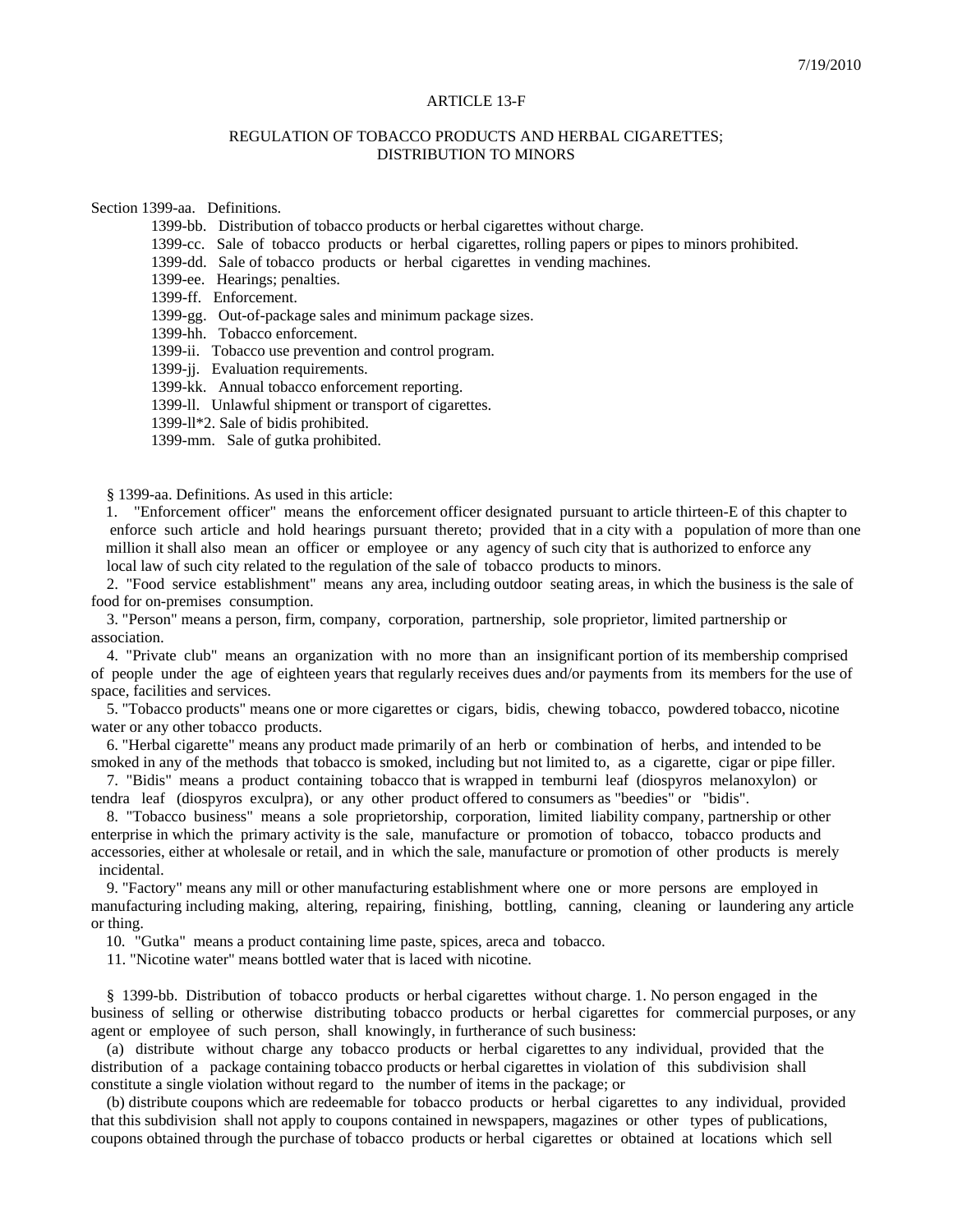## ARTICLE 13-F

## REGULATION OF TOBACCO PRODUCTS AND HERBAL CIGARETTES; DISTRIBUTION TO MINORS

Section 1399-aa. Definitions.

1399-bb. Distribution of tobacco products or herbal cigarettes without charge.

1399-cc. Sale of tobacco products or herbal cigarettes, rolling papers or pipes to minors prohibited.

1399-dd. Sale of tobacco products or herbal cigarettes in vending machines.

1399-ee. Hearings; penalties.

1399-ff. Enforcement.

1399-gg. Out-of-package sales and minimum package sizes.

1399-hh. Tobacco enforcement.

1399-ii. Tobacco use prevention and control program.

1399-jj. Evaluation requirements.

1399-kk. Annual tobacco enforcement reporting.

1399-ll. Unlawful shipment or transport of cigarettes.

1399-ll\*2. Sale of bidis prohibited.

1399-mm. Sale of gutka prohibited.

§ 1399-aa. Definitions. As used in this article:

1. "Enforcement officer" means the enforcement officer designated pursuant to article thirteen-E of this chapter to enforce such article and hold hearings pursuant thereto; provided that in a city with a population of more than one million it shall also mean an officer or employee or any agency of such city that is authorized to enforce any local law of such city related to the regulation of the sale of tobacco products to minors.

 2. "Food service establishment" means any area, including outdoor seating areas, in which the business is the sale of food for on-premises consumption.

 3. "Person" means a person, firm, company, corporation, partnership, sole proprietor, limited partnership or association.

 4. "Private club" means an organization with no more than an insignificant portion of its membership comprised of people under the age of eighteen years that regularly receives dues and/or payments from its members for the use of space, facilities and services.

 5. "Tobacco products" means one or more cigarettes or cigars, bidis, chewing tobacco, powdered tobacco, nicotine water or any other tobacco products.

 6. "Herbal cigarette" means any product made primarily of an herb or combination of herbs, and intended to be smoked in any of the methods that tobacco is smoked, including but not limited to, as a cigarette, cigar or pipe filler.

 7. "Bidis" means a product containing tobacco that is wrapped in temburni leaf (diospyros melanoxylon) or tendra leaf (diospyros exculpra), or any other product offered to consumers as "beedies" or "bidis".

 8. "Tobacco business" means a sole proprietorship, corporation, limited liability company, partnership or other enterprise in which the primary activity is the sale, manufacture or promotion of tobacco, tobacco products and accessories, either at wholesale or retail, and in which the sale, manufacture or promotion of other products is merely incidental.

 9. "Factory" means any mill or other manufacturing establishment where one or more persons are employed in manufacturing including making, altering, repairing, finishing, bottling, canning, cleaning or laundering any article or thing.

10. "Gutka" means a product containing lime paste, spices, areca and tobacco.

11. "Nicotine water" means bottled water that is laced with nicotine.

 § 1399-bb. Distribution of tobacco products or herbal cigarettes without charge. 1. No person engaged in the business of selling or otherwise distributing tobacco products or herbal cigarettes for commercial purposes, or any agent or employee of such person, shall knowingly, in furtherance of such business:

 (a) distribute without charge any tobacco products or herbal cigarettes to any individual, provided that the distribution of a package containing tobacco products or herbal cigarettes in violation of this subdivision shall constitute a single violation without regard to the number of items in the package; or

 (b) distribute coupons which are redeemable for tobacco products or herbal cigarettes to any individual, provided that this subdivision shall not apply to coupons contained in newspapers, magazines or other types of publications, coupons obtained through the purchase of tobacco products or herbal cigarettes or obtained at locations which sell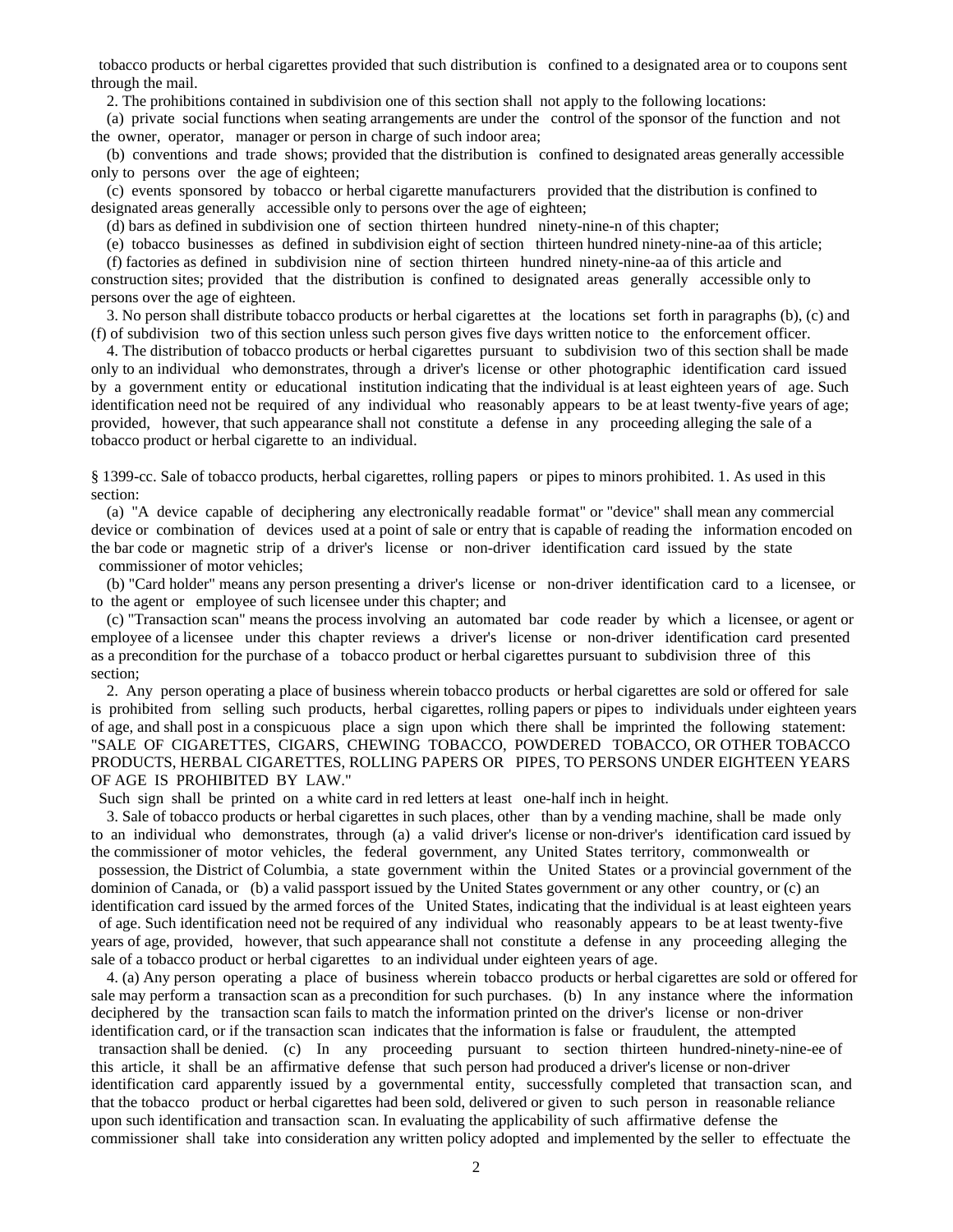tobacco products or herbal cigarettes provided that such distribution is confined to a designated area or to coupons sent through the mail.

2. The prohibitions contained in subdivision one of this section shall not apply to the following locations:

 (a) private social functions when seating arrangements are under the control of the sponsor of the function and not the owner, operator, manager or person in charge of such indoor area;

 (b) conventions and trade shows; provided that the distribution is confined to designated areas generally accessible only to persons over the age of eighteen;

 (c) events sponsored by tobacco or herbal cigarette manufacturers provided that the distribution is confined to designated areas generally accessible only to persons over the age of eighteen;

(d) bars as defined in subdivision one of section thirteen hundred ninety-nine-n of this chapter;

(e) tobacco businesses as defined in subdivision eight of section thirteen hundred ninety-nine-aa of this article;

 (f) factories as defined in subdivision nine of section thirteen hundred ninety-nine-aa of this article and construction sites; provided that the distribution is confined to designated areas generally accessible only to

persons over the age of eighteen.

 3. No person shall distribute tobacco products or herbal cigarettes at the locations set forth in paragraphs (b), (c) and (f) of subdivision two of this section unless such person gives five days written notice to the enforcement officer.

 4. The distribution of tobacco products or herbal cigarettes pursuant to subdivision two of this section shall be made only to an individual who demonstrates, through a driver's license or other photographic identification card issued by a government entity or educational institution indicating that the individual is at least eighteen years of age. Such identification need not be required of any individual who reasonably appears to be at least twenty-five years of age; provided, however, that such appearance shall not constitute a defense in any proceeding alleging the sale of a tobacco product or herbal cigarette to an individual.

§ 1399-cc. Sale of tobacco products, herbal cigarettes, rolling papers or pipes to minors prohibited. 1. As used in this section:

 (a) "A device capable of deciphering any electronically readable format" or "device" shall mean any commercial device or combination of devices used at a point of sale or entry that is capable of reading the information encoded on the bar code or magnetic strip of a driver's license or non-driver identification card issued by the state commissioner of motor vehicles;

 (b) "Card holder" means any person presenting a driver's license or non-driver identification card to a licensee, or to the agent or employee of such licensee under this chapter; and

 (c) "Transaction scan" means the process involving an automated bar code reader by which a licensee, or agent or employee of a licensee under this chapter reviews a driver's license or non-driver identification card presented as a precondition for the purchase of a tobacco product or herbal cigarettes pursuant to subdivision three of this section;

 2. Any person operating a place of business wherein tobacco products or herbal cigarettes are sold or offered for sale is prohibited from selling such products, herbal cigarettes, rolling papers or pipes to individuals under eighteen years of age, and shall post in a conspicuous place a sign upon which there shall be imprinted the following statement: "SALE OF CIGARETTES, CIGARS, CHEWING TOBACCO, POWDERED TOBACCO, OR OTHER TOBACCO PRODUCTS, HERBAL CIGARETTES, ROLLING PAPERS OR PIPES, TO PERSONS UNDER EIGHTEEN YEARS OF AGE IS PROHIBITED BY LAW."

Such sign shall be printed on a white card in red letters at least one-half inch in height.

 3. Sale of tobacco products or herbal cigarettes in such places, other than by a vending machine, shall be made only to an individual who demonstrates, through (a) a valid driver's license or non-driver's identification card issued by the commissioner of motor vehicles, the federal government, any United States territory, commonwealth or

 possession, the District of Columbia, a state government within the United States or a provincial government of the dominion of Canada, or (b) a valid passport issued by the United States government or any other country, or (c) an identification card issued by the armed forces of the United States, indicating that the individual is at least eighteen years

 of age. Such identification need not be required of any individual who reasonably appears to be at least twenty-five years of age, provided, however, that such appearance shall not constitute a defense in any proceeding alleging the sale of a tobacco product or herbal cigarettes to an individual under eighteen years of age.

 4. (a) Any person operating a place of business wherein tobacco products or herbal cigarettes are sold or offered for sale may perform a transaction scan as a precondition for such purchases. (b) In any instance where the information deciphered by the transaction scan fails to match the information printed on the driver's license or non-driver identification card, or if the transaction scan indicates that the information is false or fraudulent, the attempted

 transaction shall be denied. (c) In any proceeding pursuant to section thirteen hundred-ninety-nine-ee of this article, it shall be an affirmative defense that such person had produced a driver's license or non-driver identification card apparently issued by a governmental entity, successfully completed that transaction scan, and that the tobacco product or herbal cigarettes had been sold, delivered or given to such person in reasonable reliance upon such identification and transaction scan. In evaluating the applicability of such affirmative defense the commissioner shall take into consideration any written policy adopted and implemented by the seller to effectuate the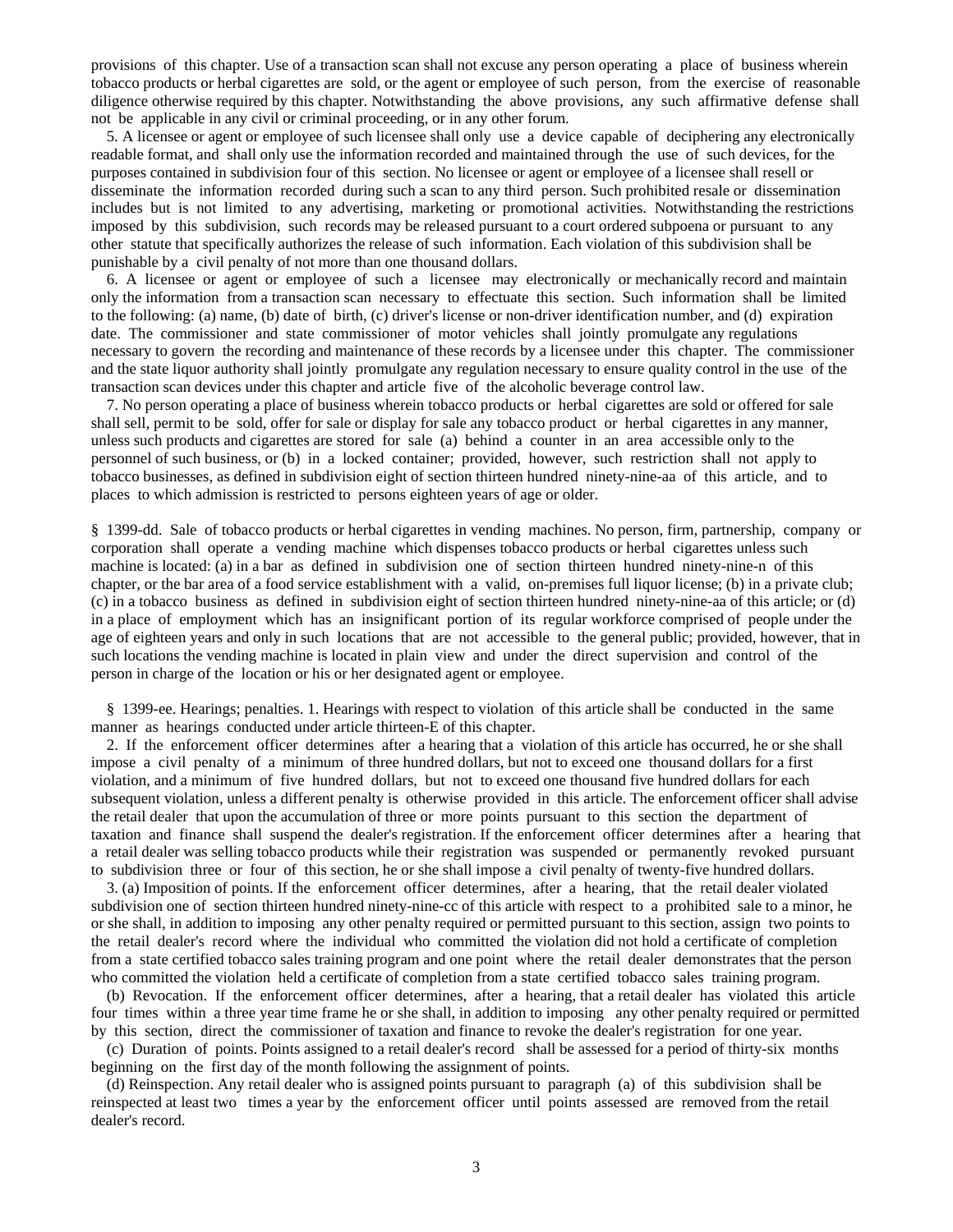provisions of this chapter. Use of a transaction scan shall not excuse any person operating a place of business wherein tobacco products or herbal cigarettes are sold, or the agent or employee of such person, from the exercise of reasonable diligence otherwise required by this chapter. Notwithstanding the above provisions, any such affirmative defense shall not be applicable in any civil or criminal proceeding, or in any other forum.

 5. A licensee or agent or employee of such licensee shall only use a device capable of deciphering any electronically readable format, and shall only use the information recorded and maintained through the use of such devices, for the purposes contained in subdivision four of this section. No licensee or agent or employee of a licensee shall resell or disseminate the information recorded during such a scan to any third person. Such prohibited resale or dissemination includes but is not limited to any advertising, marketing or promotional activities. Notwithstanding the restrictions imposed by this subdivision, such records may be released pursuant to a court ordered subpoena or pursuant to any other statute that specifically authorizes the release of such information. Each violation of this subdivision shall be punishable by a civil penalty of not more than one thousand dollars.

 6. A licensee or agent or employee of such a licensee may electronically or mechanically record and maintain only the information from a transaction scan necessary to effectuate this section. Such information shall be limited to the following: (a) name, (b) date of birth, (c) driver's license or non-driver identification number, and (d) expiration date. The commissioner and state commissioner of motor vehicles shall jointly promulgate any regulations necessary to govern the recording and maintenance of these records by a licensee under this chapter. The commissioner and the state liquor authority shall jointly promulgate any regulation necessary to ensure quality control in the use of the transaction scan devices under this chapter and article five of the alcoholic beverage control law.

 7. No person operating a place of business wherein tobacco products or herbal cigarettes are sold or offered for sale shall sell, permit to be sold, offer for sale or display for sale any tobacco product or herbal cigarettes in any manner, unless such products and cigarettes are stored for sale (a) behind a counter in an area accessible only to the personnel of such business, or (b) in a locked container; provided, however, such restriction shall not apply to tobacco businesses, as defined in subdivision eight of section thirteen hundred ninety-nine-aa of this article, and to places to which admission is restricted to persons eighteen years of age or older.

§ 1399-dd. Sale of tobacco products or herbal cigarettes in vending machines. No person, firm, partnership, company or corporation shall operate a vending machine which dispenses tobacco products or herbal cigarettes unless such machine is located: (a) in a bar as defined in subdivision one of section thirteen hundred ninety-nine-n of this chapter, or the bar area of a food service establishment with a valid, on-premises full liquor license; (b) in a private club; (c) in a tobacco business as defined in subdivision eight of section thirteen hundred ninety-nine-aa of this article; or (d) in a place of employment which has an insignificant portion of its regular workforce comprised of people under the age of eighteen years and only in such locations that are not accessible to the general public; provided, however, that in such locations the vending machine is located in plain view and under the direct supervision and control of the person in charge of the location or his or her designated agent or employee.

 § 1399-ee. Hearings; penalties. 1. Hearings with respect to violation of this article shall be conducted in the same manner as hearings conducted under article thirteen-E of this chapter.

 2. If the enforcement officer determines after a hearing that a violation of this article has occurred, he or she shall impose a civil penalty of a minimum of three hundred dollars, but not to exceed one thousand dollars for a first violation, and a minimum of five hundred dollars, but not to exceed one thousand five hundred dollars for each subsequent violation, unless a different penalty is otherwise provided in this article. The enforcement officer shall advise the retail dealer that upon the accumulation of three or more points pursuant to this section the department of taxation and finance shall suspend the dealer's registration. If the enforcement officer determines after a hearing that a retail dealer was selling tobacco products while their registration was suspended or permanently revoked pursuant to subdivision three or four of this section, he or she shall impose a civil penalty of twenty-five hundred dollars.

 3. (a) Imposition of points. If the enforcement officer determines, after a hearing, that the retail dealer violated subdivision one of section thirteen hundred ninety-nine-cc of this article with respect to a prohibited sale to a minor, he or she shall, in addition to imposing any other penalty required or permitted pursuant to this section, assign two points to the retail dealer's record where the individual who committed the violation did not hold a certificate of completion from a state certified tobacco sales training program and one point where the retail dealer demonstrates that the person who committed the violation held a certificate of completion from a state certified tobacco sales training program.

 (b) Revocation. If the enforcement officer determines, after a hearing, that a retail dealer has violated this article four times within a three year time frame he or she shall, in addition to imposing any other penalty required or permitted by this section, direct the commissioner of taxation and finance to revoke the dealer's registration for one year.

 (c) Duration of points. Points assigned to a retail dealer's record shall be assessed for a period of thirty-six months beginning on the first day of the month following the assignment of points.

 (d) Reinspection. Any retail dealer who is assigned points pursuant to paragraph (a) of this subdivision shall be reinspected at least two times a year by the enforcement officer until points assessed are removed from the retail dealer's record.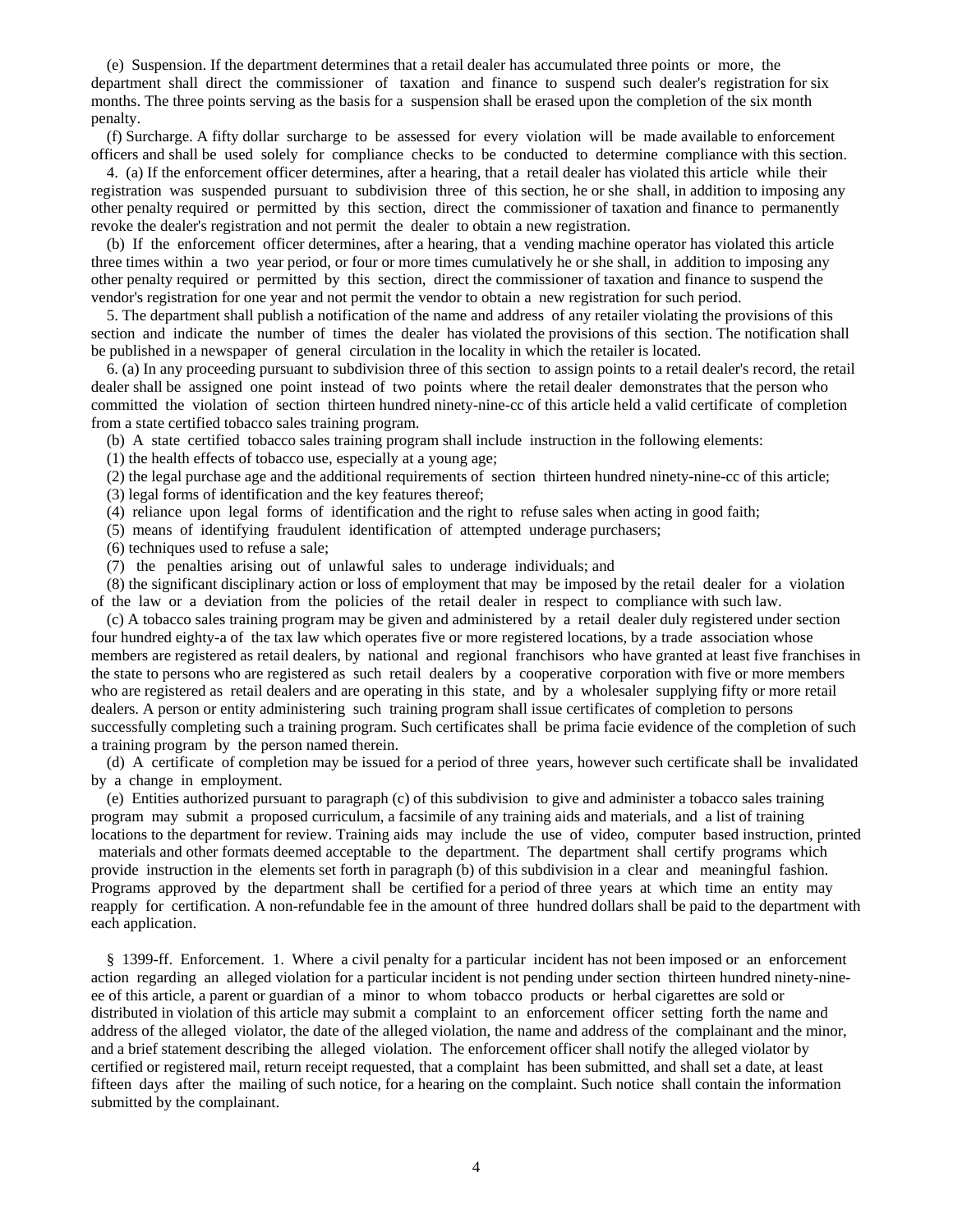(e) Suspension. If the department determines that a retail dealer has accumulated three points or more, the department shall direct the commissioner of taxation and finance to suspend such dealer's registration for six months. The three points serving as the basis for a suspension shall be erased upon the completion of the six month penalty.

 (f) Surcharge. A fifty dollar surcharge to be assessed for every violation will be made available to enforcement officers and shall be used solely for compliance checks to be conducted to determine compliance with this section.

 4. (a) If the enforcement officer determines, after a hearing, that a retail dealer has violated this article while their registration was suspended pursuant to subdivision three of this section, he or she shall, in addition to imposing any other penalty required or permitted by this section, direct the commissioner of taxation and finance to permanently revoke the dealer's registration and not permit the dealer to obtain a new registration.

 (b) If the enforcement officer determines, after a hearing, that a vending machine operator has violated this article three times within a two year period, or four or more times cumulatively he or she shall, in addition to imposing any other penalty required or permitted by this section, direct the commissioner of taxation and finance to suspend the vendor's registration for one year and not permit the vendor to obtain a new registration for such period.

 5. The department shall publish a notification of the name and address of any retailer violating the provisions of this section and indicate the number of times the dealer has violated the provisions of this section. The notification shall be published in a newspaper of general circulation in the locality in which the retailer is located.

 6. (a) In any proceeding pursuant to subdivision three of this section to assign points to a retail dealer's record, the retail dealer shall be assigned one point instead of two points where the retail dealer demonstrates that the person who committed the violation of section thirteen hundred ninety-nine-cc of this article held a valid certificate of completion from a state certified tobacco sales training program.

(b) A state certified tobacco sales training program shall include instruction in the following elements:

(1) the health effects of tobacco use, especially at a young age;

(2) the legal purchase age and the additional requirements of section thirteen hundred ninety-nine-cc of this article;

(3) legal forms of identification and the key features thereof;

(4) reliance upon legal forms of identification and the right to refuse sales when acting in good faith;

(5) means of identifying fraudulent identification of attempted underage purchasers;

(6) techniques used to refuse a sale;

(7) the penalties arising out of unlawful sales to underage individuals; and

 (8) the significant disciplinary action or loss of employment that may be imposed by the retail dealer for a violation of the law or a deviation from the policies of the retail dealer in respect to compliance with such law.

 (c) A tobacco sales training program may be given and administered by a retail dealer duly registered under section four hundred eighty-a of the tax law which operates five or more registered locations, by a trade association whose members are registered as retail dealers, by national and regional franchisors who have granted at least five franchises in the state to persons who are registered as such retail dealers by a cooperative corporation with five or more members who are registered as retail dealers and are operating in this state, and by a wholesaler supplying fifty or more retail dealers. A person or entity administering such training program shall issue certificates of completion to persons successfully completing such a training program. Such certificates shall be prima facie evidence of the completion of such a training program by the person named therein.

 (d) A certificate of completion may be issued for a period of three years, however such certificate shall be invalidated by a change in employment.

 (e) Entities authorized pursuant to paragraph (c) of this subdivision to give and administer a tobacco sales training program may submit a proposed curriculum, a facsimile of any training aids and materials, and a list of training locations to the department for review. Training aids may include the use of video, computer based instruction, printed

 materials and other formats deemed acceptable to the department. The department shall certify programs which provide instruction in the elements set forth in paragraph (b) of this subdivision in a clear and meaningful fashion. Programs approved by the department shall be certified for a period of three years at which time an entity may reapply for certification. A non-refundable fee in the amount of three hundred dollars shall be paid to the department with each application.

 § 1399-ff. Enforcement. 1. Where a civil penalty for a particular incident has not been imposed or an enforcement action regarding an alleged violation for a particular incident is not pending under section thirteen hundred ninety-nineee of this article, a parent or guardian of a minor to whom tobacco products or herbal cigarettes are sold or distributed in violation of this article may submit a complaint to an enforcement officer setting forth the name and address of the alleged violator, the date of the alleged violation, the name and address of the complainant and the minor, and a brief statement describing the alleged violation. The enforcement officer shall notify the alleged violator by certified or registered mail, return receipt requested, that a complaint has been submitted, and shall set a date, at least fifteen days after the mailing of such notice, for a hearing on the complaint. Such notice shall contain the information submitted by the complainant.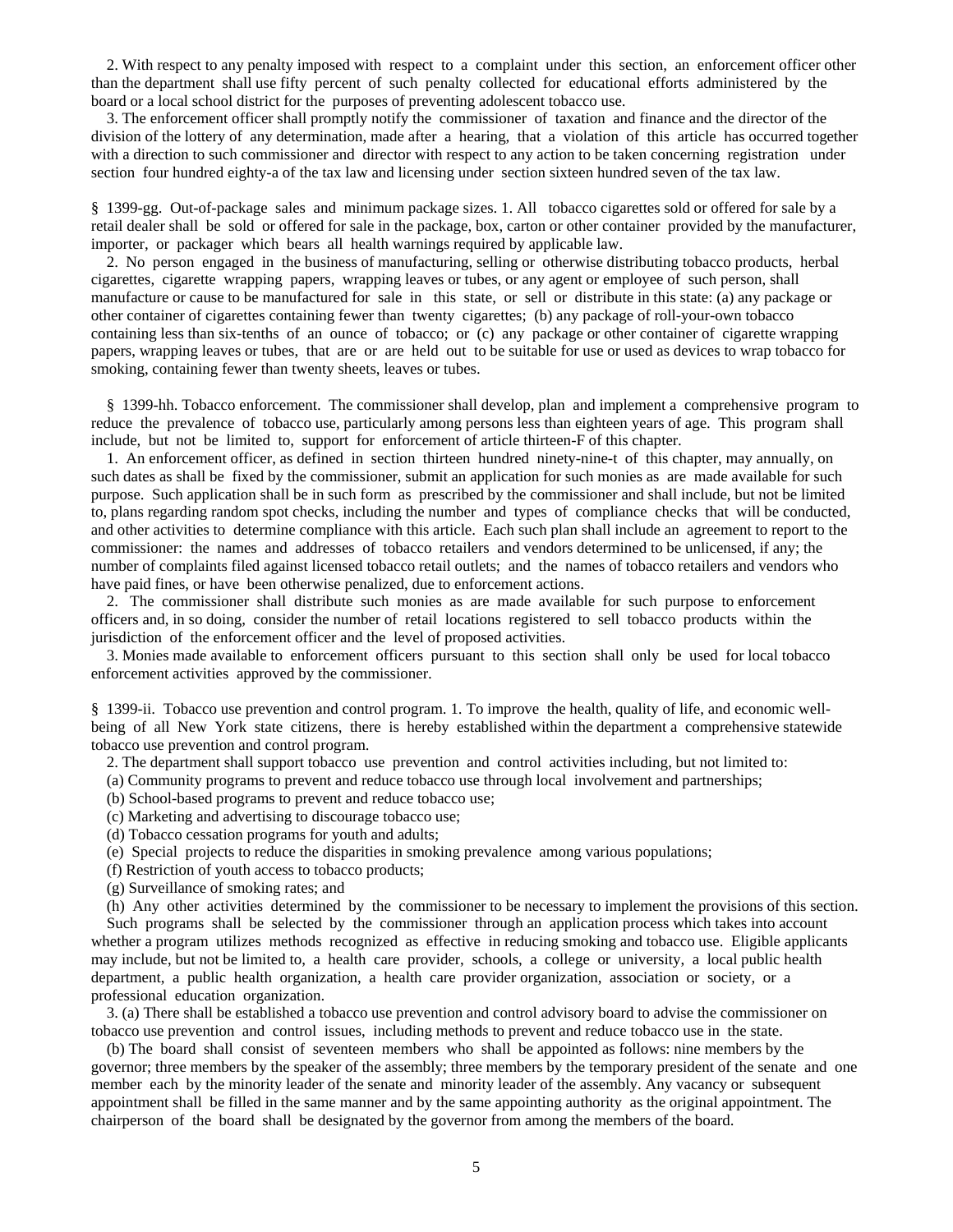2. With respect to any penalty imposed with respect to a complaint under this section, an enforcement officer other than the department shall use fifty percent of such penalty collected for educational efforts administered by the board or a local school district for the purposes of preventing adolescent tobacco use.

 3. The enforcement officer shall promptly notify the commissioner of taxation and finance and the director of the division of the lottery of any determination, made after a hearing, that a violation of this article has occurred together with a direction to such commissioner and director with respect to any action to be taken concerning registration under section four hundred eighty-a of the tax law and licensing under section sixteen hundred seven of the tax law.

§ 1399-gg. Out-of-package sales and minimum package sizes. 1. All tobacco cigarettes sold or offered for sale by a retail dealer shall be sold or offered for sale in the package, box, carton or other container provided by the manufacturer, importer, or packager which bears all health warnings required by applicable law.

 2. No person engaged in the business of manufacturing, selling or otherwise distributing tobacco products, herbal cigarettes, cigarette wrapping papers, wrapping leaves or tubes, or any agent or employee of such person, shall manufacture or cause to be manufactured for sale in this state, or sell or distribute in this state: (a) any package or other container of cigarettes containing fewer than twenty cigarettes; (b) any package of roll-your-own tobacco containing less than six-tenths of an ounce of tobacco; or (c) any package or other container of cigarette wrapping papers, wrapping leaves or tubes, that are or are held out to be suitable for use or used as devices to wrap tobacco for smoking, containing fewer than twenty sheets, leaves or tubes.

 § 1399-hh. Tobacco enforcement. The commissioner shall develop, plan and implement a comprehensive program to reduce the prevalence of tobacco use, particularly among persons less than eighteen years of age. This program shall include, but not be limited to, support for enforcement of article thirteen-F of this chapter.

 1. An enforcement officer, as defined in section thirteen hundred ninety-nine-t of this chapter, may annually, on such dates as shall be fixed by the commissioner, submit an application for such monies as are made available for such purpose. Such application shall be in such form as prescribed by the commissioner and shall include, but not be limited to, plans regarding random spot checks, including the number and types of compliance checks that will be conducted, and other activities to determine compliance with this article. Each such plan shall include an agreement to report to the commissioner: the names and addresses of tobacco retailers and vendors determined to be unlicensed, if any; the number of complaints filed against licensed tobacco retail outlets; and the names of tobacco retailers and vendors who have paid fines, or have been otherwise penalized, due to enforcement actions.

 2. The commissioner shall distribute such monies as are made available for such purpose to enforcement officers and, in so doing, consider the number of retail locations registered to sell tobacco products within the jurisdiction of the enforcement officer and the level of proposed activities.

 3. Monies made available to enforcement officers pursuant to this section shall only be used for local tobacco enforcement activities approved by the commissioner.

§ 1399-ii. Tobacco use prevention and control program. 1. To improve the health, quality of life, and economic wellbeing of all New York state citizens, there is hereby established within the department a comprehensive statewide tobacco use prevention and control program.

2. The department shall support tobacco use prevention and control activities including, but not limited to:

(a) Community programs to prevent and reduce tobacco use through local involvement and partnerships;

(b) School-based programs to prevent and reduce tobacco use;

(c) Marketing and advertising to discourage tobacco use;

(d) Tobacco cessation programs for youth and adults;

(e) Special projects to reduce the disparities in smoking prevalence among various populations;

(f) Restriction of youth access to tobacco products;

(g) Surveillance of smoking rates; and

 (h) Any other activities determined by the commissioner to be necessary to implement the provisions of this section. Such programs shall be selected by the commissioner through an application process which takes into account whether a program utilizes methods recognized as effective in reducing smoking and tobacco use. Eligible applicants may include, but not be limited to, a health care provider, schools, a college or university, a local public health department, a public health organization, a health care provider organization, association or society, or a professional education organization.

 3. (a) There shall be established a tobacco use prevention and control advisory board to advise the commissioner on tobacco use prevention and control issues, including methods to prevent and reduce tobacco use in the state.

 (b) The board shall consist of seventeen members who shall be appointed as follows: nine members by the governor; three members by the speaker of the assembly; three members by the temporary president of the senate and one member each by the minority leader of the senate and minority leader of the assembly. Any vacancy or subsequent appointment shall be filled in the same manner and by the same appointing authority as the original appointment. The chairperson of the board shall be designated by the governor from among the members of the board.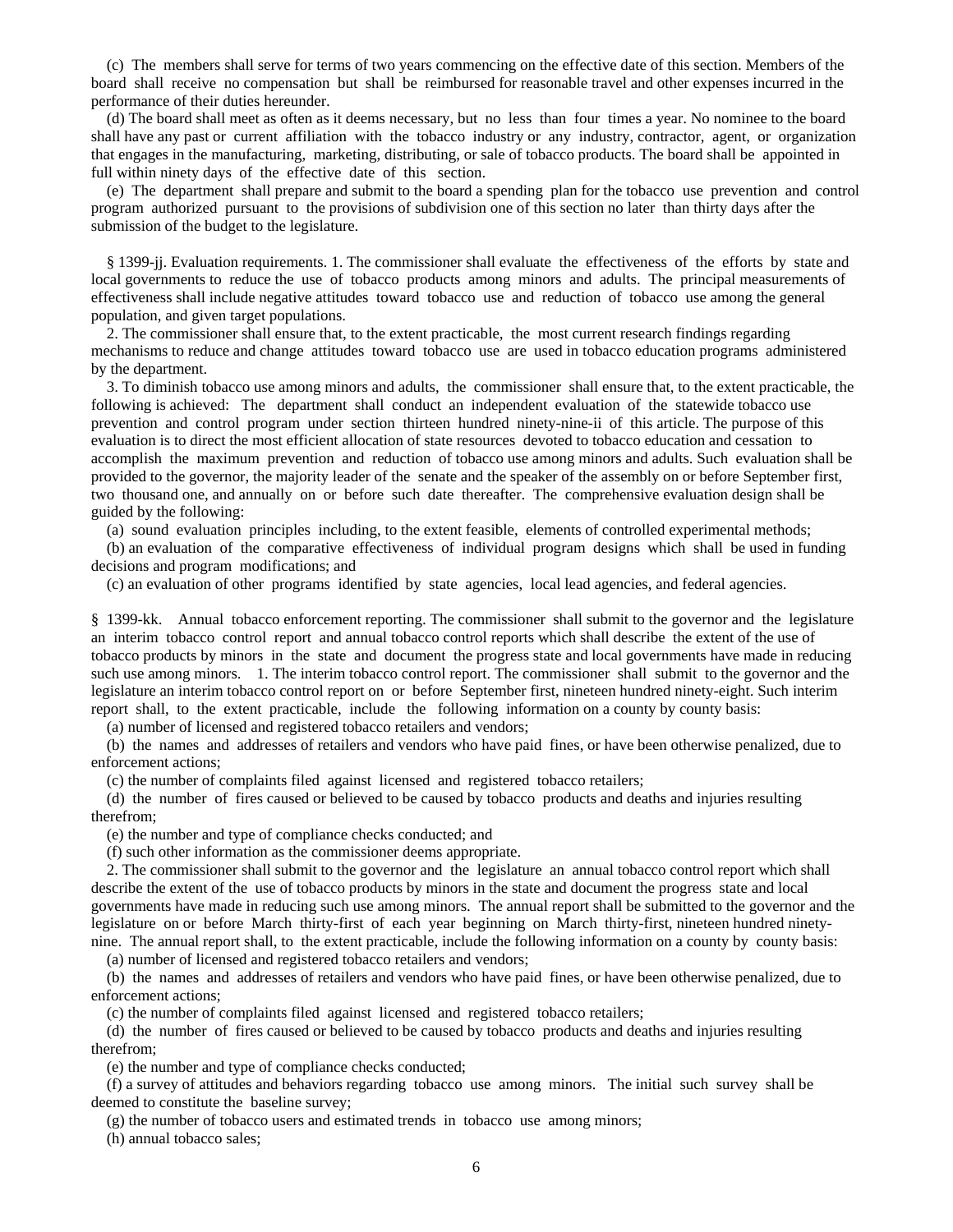(c) The members shall serve for terms of two years commencing on the effective date of this section. Members of the board shall receive no compensation but shall be reimbursed for reasonable travel and other expenses incurred in the performance of their duties hereunder.

 (d) The board shall meet as often as it deems necessary, but no less than four times a year. No nominee to the board shall have any past or current affiliation with the tobacco industry or any industry, contractor, agent, or organization that engages in the manufacturing, marketing, distributing, or sale of tobacco products. The board shall be appointed in full within ninety days of the effective date of this section.

 (e) The department shall prepare and submit to the board a spending plan for the tobacco use prevention and control program authorized pursuant to the provisions of subdivision one of this section no later than thirty days after the submission of the budget to the legislature.

 § 1399-jj. Evaluation requirements. 1. The commissioner shall evaluate the effectiveness of the efforts by state and local governments to reduce the use of tobacco products among minors and adults. The principal measurements of effectiveness shall include negative attitudes toward tobacco use and reduction of tobacco use among the general population, and given target populations.

 2. The commissioner shall ensure that, to the extent practicable, the most current research findings regarding mechanisms to reduce and change attitudes toward tobacco use are used in tobacco education programs administered by the department.

 3. To diminish tobacco use among minors and adults, the commissioner shall ensure that, to the extent practicable, the following is achieved: The department shall conduct an independent evaluation of the statewide tobacco use prevention and control program under section thirteen hundred ninety-nine-ii of this article. The purpose of this evaluation is to direct the most efficient allocation of state resources devoted to tobacco education and cessation to accomplish the maximum prevention and reduction of tobacco use among minors and adults. Such evaluation shall be provided to the governor, the majority leader of the senate and the speaker of the assembly on or before September first, two thousand one, and annually on or before such date thereafter. The comprehensive evaluation design shall be guided by the following:

(a) sound evaluation principles including, to the extent feasible, elements of controlled experimental methods;

 (b) an evaluation of the comparative effectiveness of individual program designs which shall be used in funding decisions and program modifications; and

(c) an evaluation of other programs identified by state agencies, local lead agencies, and federal agencies.

§ 1399-kk. Annual tobacco enforcement reporting. The commissioner shall submit to the governor and the legislature an interim tobacco control report and annual tobacco control reports which shall describe the extent of the use of tobacco products by minors in the state and document the progress state and local governments have made in reducing such use among minors. 1. The interim tobacco control report. The commissioner shall submit to the governor and the legislature an interim tobacco control report on or before September first, nineteen hundred ninety-eight. Such interim report shall, to the extent practicable, include the following information on a county by county basis:

(a) number of licensed and registered tobacco retailers and vendors;

 (b) the names and addresses of retailers and vendors who have paid fines, or have been otherwise penalized, due to enforcement actions;

(c) the number of complaints filed against licensed and registered tobacco retailers;

 (d) the number of fires caused or believed to be caused by tobacco products and deaths and injuries resulting therefrom;

(e) the number and type of compliance checks conducted; and

(f) such other information as the commissioner deems appropriate.

 2. The commissioner shall submit to the governor and the legislature an annual tobacco control report which shall describe the extent of the use of tobacco products by minors in the state and document the progress state and local governments have made in reducing such use among minors. The annual report shall be submitted to the governor and the legislature on or before March thirty-first of each year beginning on March thirty-first, nineteen hundred ninetynine. The annual report shall, to the extent practicable, include the following information on a county by county basis:

(a) number of licensed and registered tobacco retailers and vendors;

 (b) the names and addresses of retailers and vendors who have paid fines, or have been otherwise penalized, due to enforcement actions;

(c) the number of complaints filed against licensed and registered tobacco retailers;

 (d) the number of fires caused or believed to be caused by tobacco products and deaths and injuries resulting therefrom;

(e) the number and type of compliance checks conducted;

 (f) a survey of attitudes and behaviors regarding tobacco use among minors. The initial such survey shall be deemed to constitute the baseline survey;

(g) the number of tobacco users and estimated trends in tobacco use among minors;

(h) annual tobacco sales;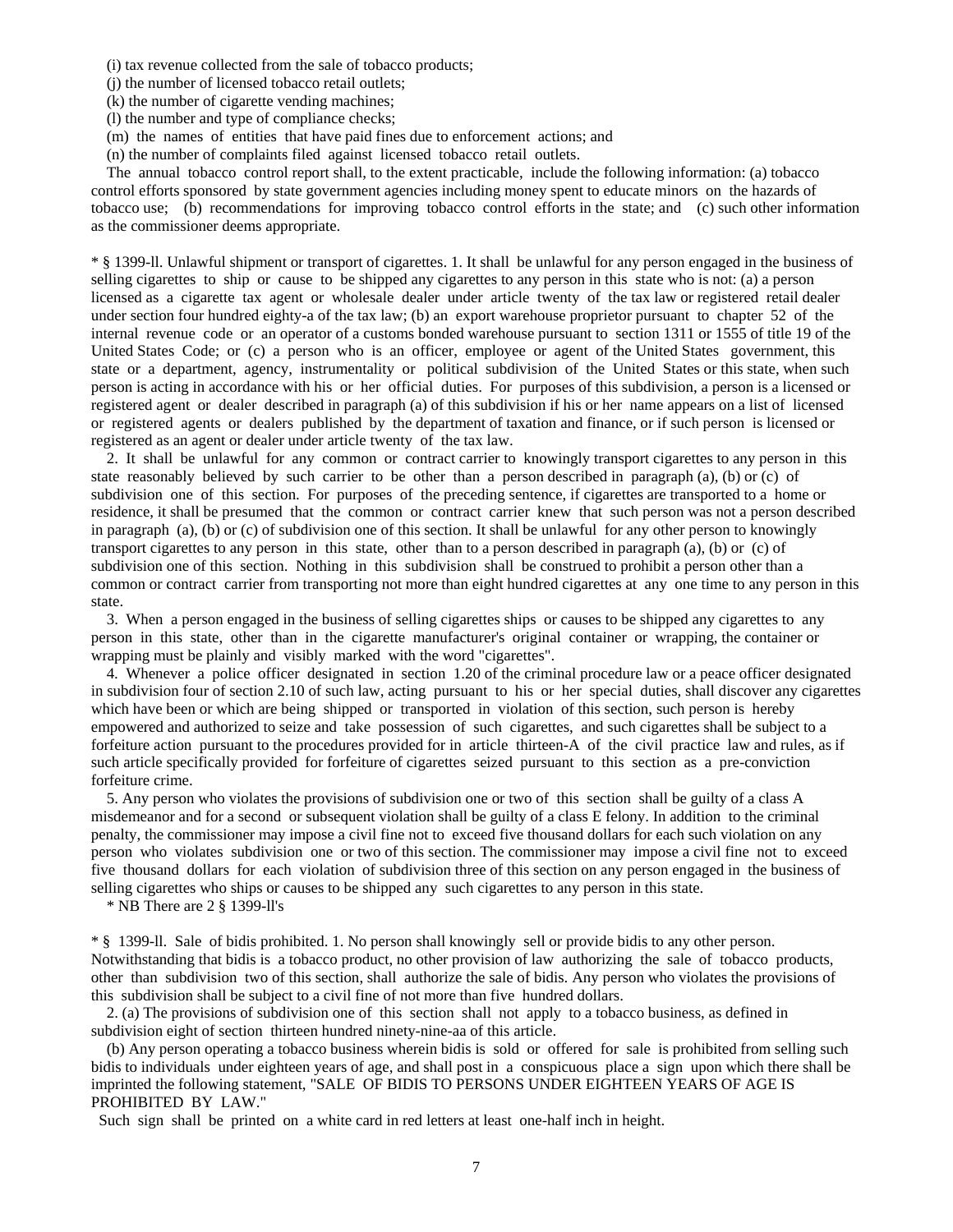(i) tax revenue collected from the sale of tobacco products;

(j) the number of licensed tobacco retail outlets;

(k) the number of cigarette vending machines;

(l) the number and type of compliance checks;

(m) the names of entities that have paid fines due to enforcement actions; and

(n) the number of complaints filed against licensed tobacco retail outlets.

 The annual tobacco control report shall, to the extent practicable, include the following information: (a) tobacco control efforts sponsored by state government agencies including money spent to educate minors on the hazards of tobacco use; (b) recommendations for improving tobacco control efforts in the state; and (c) such other information as the commissioner deems appropriate.

\* § 1399-ll. Unlawful shipment or transport of cigarettes. 1. It shall be unlawful for any person engaged in the business of selling cigarettes to ship or cause to be shipped any cigarettes to any person in this state who is not: (a) a person licensed as a cigarette tax agent or wholesale dealer under article twenty of the tax law or registered retail dealer under section four hundred eighty-a of the tax law; (b) an export warehouse proprietor pursuant to chapter 52 of the internal revenue code or an operator of a customs bonded warehouse pursuant to section 1311 or 1555 of title 19 of the United States Code; or (c) a person who is an officer, employee or agent of the United States government, this state or a department, agency, instrumentality or political subdivision of the United States or this state, when such person is acting in accordance with his or her official duties. For purposes of this subdivision, a person is a licensed or registered agent or dealer described in paragraph (a) of this subdivision if his or her name appears on a list of licensed or registered agents or dealers published by the department of taxation and finance, or if such person is licensed or registered as an agent or dealer under article twenty of the tax law.

 2. It shall be unlawful for any common or contract carrier to knowingly transport cigarettes to any person in this state reasonably believed by such carrier to be other than a person described in paragraph (a), (b) or (c) of subdivision one of this section. For purposes of the preceding sentence, if cigarettes are transported to a home or residence, it shall be presumed that the common or contract carrier knew that such person was not a person described in paragraph (a), (b) or (c) of subdivision one of this section. It shall be unlawful for any other person to knowingly transport cigarettes to any person in this state, other than to a person described in paragraph (a), (b) or (c) of subdivision one of this section. Nothing in this subdivision shall be construed to prohibit a person other than a common or contract carrier from transporting not more than eight hundred cigarettes at any one time to any person in this state.

 3. When a person engaged in the business of selling cigarettes ships or causes to be shipped any cigarettes to any person in this state, other than in the cigarette manufacturer's original container or wrapping, the container or wrapping must be plainly and visibly marked with the word "cigarettes".

 4. Whenever a police officer designated in section 1.20 of the criminal procedure law or a peace officer designated in subdivision four of section 2.10 of such law, acting pursuant to his or her special duties, shall discover any cigarettes which have been or which are being shipped or transported in violation of this section, such person is hereby empowered and authorized to seize and take possession of such cigarettes, and such cigarettes shall be subject to a forfeiture action pursuant to the procedures provided for in article thirteen-A of the civil practice law and rules, as if such article specifically provided for forfeiture of cigarettes seized pursuant to this section as a pre-conviction forfeiture crime.

 5. Any person who violates the provisions of subdivision one or two of this section shall be guilty of a class A misdemeanor and for a second or subsequent violation shall be guilty of a class E felony. In addition to the criminal penalty, the commissioner may impose a civil fine not to exceed five thousand dollars for each such violation on any person who violates subdivision one or two of this section. The commissioner may impose a civil fine not to exceed five thousand dollars for each violation of subdivision three of this section on any person engaged in the business of selling cigarettes who ships or causes to be shipped any such cigarettes to any person in this state.

\* NB There are 2 § 1399-ll's

\* § 1399-ll. Sale of bidis prohibited. 1. No person shall knowingly sell or provide bidis to any other person. Notwithstanding that bidis is a tobacco product, no other provision of law authorizing the sale of tobacco products, other than subdivision two of this section, shall authorize the sale of bidis. Any person who violates the provisions of this subdivision shall be subject to a civil fine of not more than five hundred dollars.

 2. (a) The provisions of subdivision one of this section shall not apply to a tobacco business, as defined in subdivision eight of section thirteen hundred ninety-nine-aa of this article.

 (b) Any person operating a tobacco business wherein bidis is sold or offered for sale is prohibited from selling such bidis to individuals under eighteen years of age, and shall post in a conspicuous place a sign upon which there shall be imprinted the following statement, "SALE OF BIDIS TO PERSONS UNDER EIGHTEEN YEARS OF AGE IS PROHIBITED BY LAW."

Such sign shall be printed on a white card in red letters at least one-half inch in height.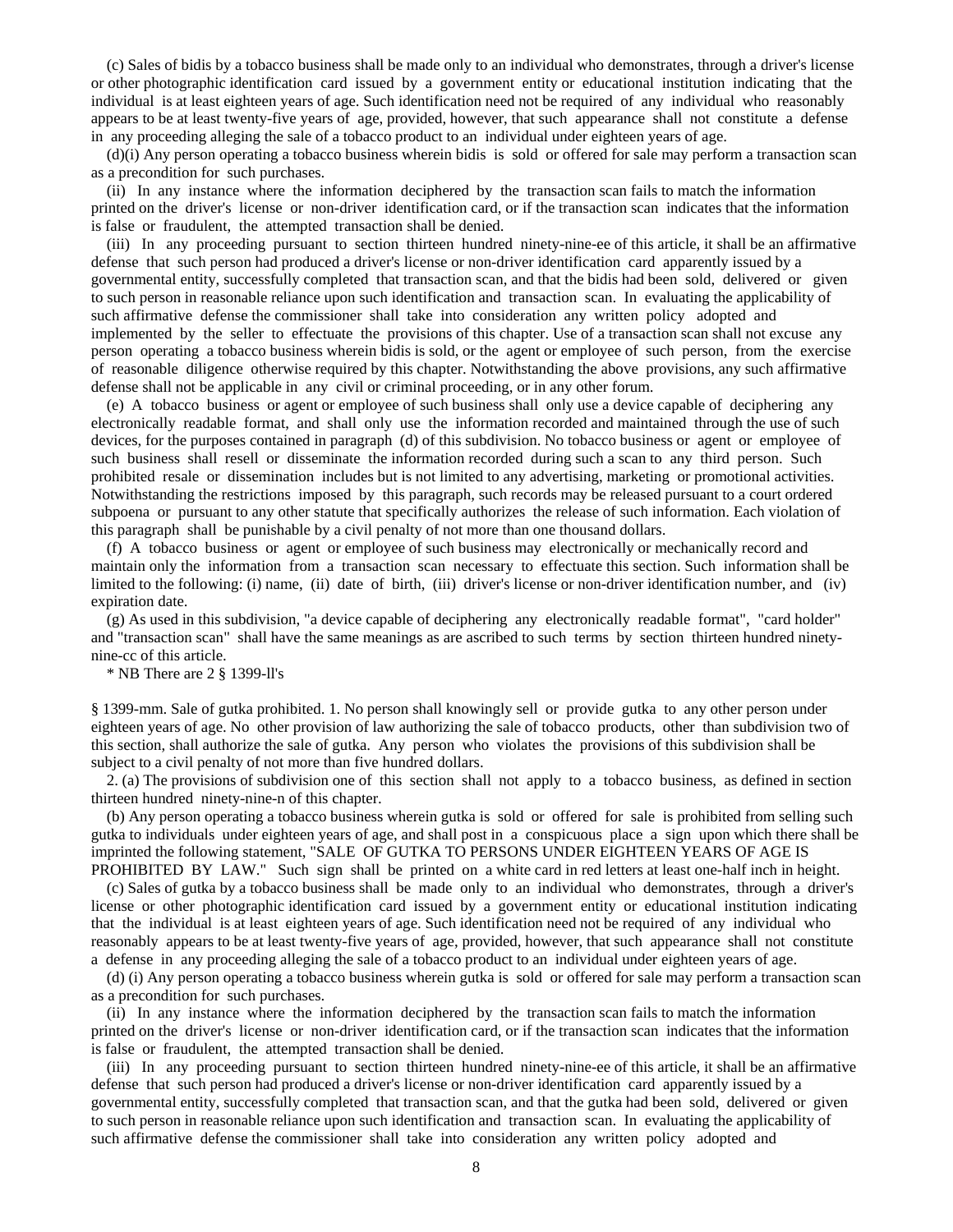(c) Sales of bidis by a tobacco business shall be made only to an individual who demonstrates, through a driver's license or other photographic identification card issued by a government entity or educational institution indicating that the individual is at least eighteen years of age. Such identification need not be required of any individual who reasonably appears to be at least twenty-five years of age, provided, however, that such appearance shall not constitute a defense in any proceeding alleging the sale of a tobacco product to an individual under eighteen years of age.

 (d)(i) Any person operating a tobacco business wherein bidis is sold or offered for sale may perform a transaction scan as a precondition for such purchases.

 (ii) In any instance where the information deciphered by the transaction scan fails to match the information printed on the driver's license or non-driver identification card, or if the transaction scan indicates that the information is false or fraudulent, the attempted transaction shall be denied.

 (iii) In any proceeding pursuant to section thirteen hundred ninety-nine-ee of this article, it shall be an affirmative defense that such person had produced a driver's license or non-driver identification card apparently issued by a governmental entity, successfully completed that transaction scan, and that the bidis had been sold, delivered or given to such person in reasonable reliance upon such identification and transaction scan. In evaluating the applicability of such affirmative defense the commissioner shall take into consideration any written policy adopted and implemented by the seller to effectuate the provisions of this chapter. Use of a transaction scan shall not excuse any person operating a tobacco business wherein bidis is sold, or the agent or employee of such person, from the exercise of reasonable diligence otherwise required by this chapter. Notwithstanding the above provisions, any such affirmative defense shall not be applicable in any civil or criminal proceeding, or in any other forum.

 (e) A tobacco business or agent or employee of such business shall only use a device capable of deciphering any electronically readable format, and shall only use the information recorded and maintained through the use of such devices, for the purposes contained in paragraph (d) of this subdivision. No tobacco business or agent or employee of such business shall resell or disseminate the information recorded during such a scan to any third person. Such prohibited resale or dissemination includes but is not limited to any advertising, marketing or promotional activities. Notwithstanding the restrictions imposed by this paragraph, such records may be released pursuant to a court ordered subpoena or pursuant to any other statute that specifically authorizes the release of such information. Each violation of this paragraph shall be punishable by a civil penalty of not more than one thousand dollars.

 (f) A tobacco business or agent or employee of such business may electronically or mechanically record and maintain only the information from a transaction scan necessary to effectuate this section. Such information shall be limited to the following: (i) name, (ii) date of birth, (iii) driver's license or non-driver identification number, and (iv) expiration date.

 (g) As used in this subdivision, "a device capable of deciphering any electronically readable format", "card holder" and "transaction scan" shall have the same meanings as are ascribed to such terms by section thirteen hundred ninetynine-cc of this article.

## \* NB There are 2 § 1399-ll's

§ 1399-mm. Sale of gutka prohibited. 1. No person shall knowingly sell or provide gutka to any other person under eighteen years of age. No other provision of law authorizing the sale of tobacco products, other than subdivision two of this section, shall authorize the sale of gutka. Any person who violates the provisions of this subdivision shall be subject to a civil penalty of not more than five hundred dollars.

 2. (a) The provisions of subdivision one of this section shall not apply to a tobacco business, as defined in section thirteen hundred ninety-nine-n of this chapter.

 (b) Any person operating a tobacco business wherein gutka is sold or offered for sale is prohibited from selling such gutka to individuals under eighteen years of age, and shall post in a conspicuous place a sign upon which there shall be imprinted the following statement, "SALE OF GUTKA TO PERSONS UNDER EIGHTEEN YEARS OF AGE IS PROHIBITED BY LAW." Such sign shall be printed on a white card in red letters at least one-half inch in height.

 (c) Sales of gutka by a tobacco business shall be made only to an individual who demonstrates, through a driver's license or other photographic identification card issued by a government entity or educational institution indicating that the individual is at least eighteen years of age. Such identification need not be required of any individual who reasonably appears to be at least twenty-five years of age, provided, however, that such appearance shall not constitute a defense in any proceeding alleging the sale of a tobacco product to an individual under eighteen years of age.

 (d) (i) Any person operating a tobacco business wherein gutka is sold or offered for sale may perform a transaction scan as a precondition for such purchases.

 (ii) In any instance where the information deciphered by the transaction scan fails to match the information printed on the driver's license or non-driver identification card, or if the transaction scan indicates that the information is false or fraudulent, the attempted transaction shall be denied.

 (iii) In any proceeding pursuant to section thirteen hundred ninety-nine-ee of this article, it shall be an affirmative defense that such person had produced a driver's license or non-driver identification card apparently issued by a governmental entity, successfully completed that transaction scan, and that the gutka had been sold, delivered or given to such person in reasonable reliance upon such identification and transaction scan. In evaluating the applicability of such affirmative defense the commissioner shall take into consideration any written policy adopted and